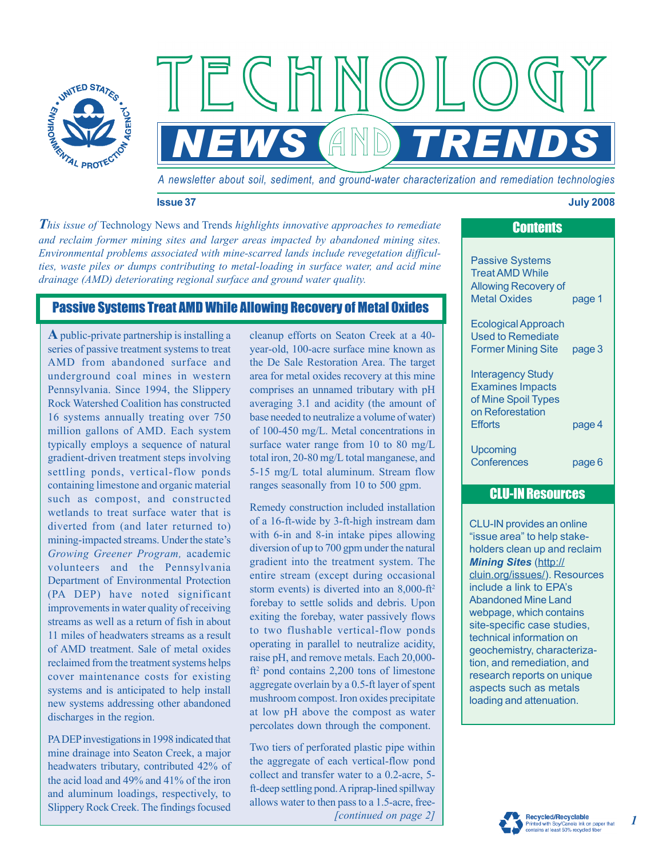

*A newsletter about soil, sediment, and ground-water characterization and remediation technologies*

*NEWS TRENDS*

 $\mathbb{A}$ 

### **Issue 37 July 2008**

*This issue of Technology News and Trends highlights innovative approaches to remediate Contents and reclaim former mining sites and larger areas impacted by abandoned mining sites. Environmental problems associated with mine-scarred lands include revegetation difficulties, waste piles or dumps contributing to metal-loading in surface water, and acid mine drainage (AMD) deteriorating regional surface and ground water quality.*

# Passive Systems Treat AMD While Allowing Recovery of Metal Oxides

**A** public-private partnership is installing a series of passive treatment systems to treat AMD from abandoned surface and underground coal mines in western Pennsylvania. Since 1994, the Slippery Rock Watershed Coalition has constructed 16 systems annually treating over 750 million gallons of AMD. Each system typically employs a sequence of natural gradient-driven treatment steps involving settling ponds, vertical-flow ponds containing limestone and organic material such as compost, and constructed wetlands to treat surface water that is diverted from (and later returned to) mining-impacted streams. Under the state's *Growing Greener Program,* academic volunteers and the Pennsylvania Department of Environmental Protection (PA DEP) have noted significant improvements in water quality of receiving streams as well as a return of fish in about 11 miles of headwaters streams as a result of AMD treatment. Sale of metal oxides reclaimed from the treatment systems helps cover maintenance costs for existing systems and is anticipated to help install new systems addressing other abandoned discharges in the region.

PA DEP investigations in 1998 indicated that mine drainage into Seaton Creek, a major headwaters tributary, contributed 42% of the acid load and 49% and 41% of the iron and aluminum loadings, respectively, to Slippery Rock Creek. The findings focused

cleanup efforts on Seaton Creek at a 40 year-old, 100-acre surface mine known as the De Sale Restoration Area. The target area for metal oxides recovery at this mine comprises an unnamed tributary with pH averaging 3.1 and acidity (the amount of base needed to neutralize a volume of water) of 100-450 mg/L. Metal concentrations in surface water range from 10 to 80 mg/L total iron, 20-80 mg/L total manganese, and 5-15 mg/L total aluminum. Stream flow ranges seasonally from 10 to 500 gpm.

Remedy construction included installation of a 16-ft-wide by 3-ft-high instream dam with 6-in and 8-in intake pipes allowing diversion of up to 700 gpm under the natural gradient into the treatment system. The entire stream (except during occasional storm events) is diverted into an 8,000-ft<sup>2</sup> forebay to settle solids and debris. Upon exiting the forebay, water passively flows to two flushable vertical-flow ponds operating in parallel to neutralize acidity, raise pH, and remove metals. Each 20,000 ft<sup>2</sup> pond contains 2,200 tons of limestone aggregate overlain by a 0.5-ft layer of spent mushroom compost. Iron oxides precipitate at low pH above the compost as water percolates down through the component.

*[continued on page 2]* Two tiers of perforated plastic pipe within the aggregate of each vertical-flow pond collect and transfer water to a 0.2-acre, 5 ft-deep settling pond. A riprap-lined spillway allows water to then pass to a 1.5-acre, free-

| <b>Passive Systems</b><br><b>Treat AMD While</b><br><b>Allowing Recovery of</b><br>Metal Oxides                  | page 1 |
|------------------------------------------------------------------------------------------------------------------|--------|
| <b>Ecological Approach</b><br>Used to Remediate<br><b>Former Mining Site</b>                                     | page 3 |
| <b>Interagency Study</b><br><b>Examines Impacts</b><br>of Mine Spoil Types<br>on Reforestation<br><b>Efforts</b> | page 4 |
| Upcoming<br>Conferences                                                                                          | page 6 |

# CLU-IN Resources

CLU-IN provides an online "issue area" to help stakeholders clean up and reclaim *Mining Sites* [\(http://](http://www.clu-in.org/issues/) [cluin.org/issues/\).](http://www.clu-in.org/issues/) Resources include a link to EPA's Abandoned Mine Land webpage, which contains site-specific case studies, technical information on geochemistry, characterization, and remediation, and research reports on unique aspects such as metals loading and attenuation.

*1*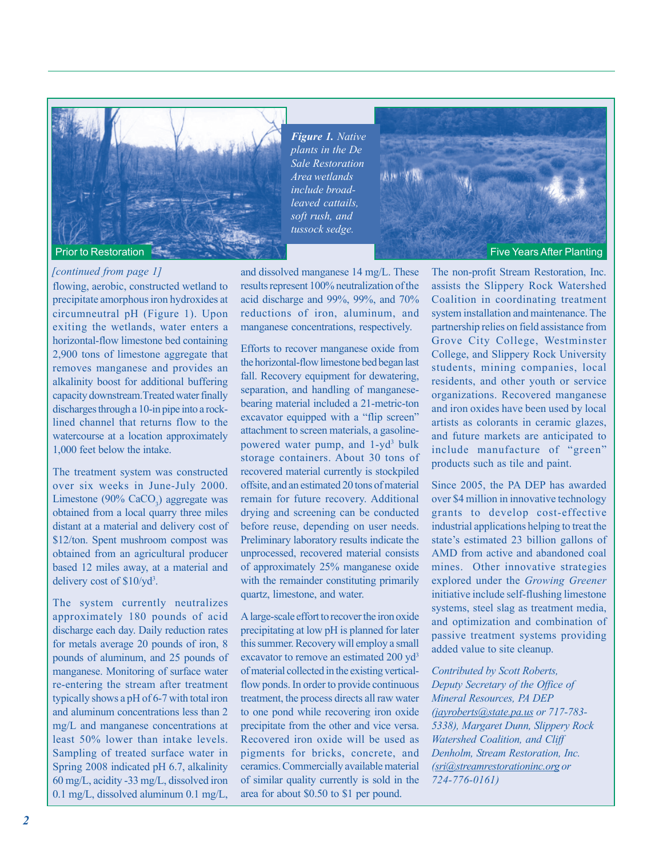

*Figure 1. Native plants in the De Sale Restoration Area wetlands include broadleaved cattails, soft rush, and tussock sedge.*



### *[continued from page 1]*

flowing, aerobic, constructed wetland to precipitate amorphous iron hydroxides at circumneutral pH (Figure 1). Upon exiting the wetlands, water enters a horizontal-flow limestone bed containing 2,900 tons of limestone aggregate that removes manganese and provides an alkalinity boost for additional buffering capacity downstream.Treated water finally discharges through a 10-in pipe into a rocklined channel that returns flow to the watercourse at a location approximately 1,000 feet below the intake.

The treatment system was constructed over six weeks in June-July 2000. Limestone (90%  $CaCO<sub>3</sub>$ ) aggregate was obtained from a local quarry three miles distant at a material and delivery cost of \$12/ton. Spent mushroom compost was obtained from an agricultural producer based 12 miles away, at a material and delivery cost of \$10/yd<sup>3</sup>.

The system currently neutralizes approximately 180 pounds of acid discharge each day. Daily reduction rates for metals average 20 pounds of iron, 8 pounds of aluminum, and 25 pounds of manganese. Monitoring of surface water re-entering the stream after treatment typically shows a pH of 6-7 with total iron and aluminum concentrations less than 2 mg/L and manganese concentrations at least 50% lower than intake levels. Sampling of treated surface water in Spring 2008 indicated pH 6.7, alkalinity 60 mg/L, acidity -33 mg/L, dissolved iron 0.1 mg/L, dissolved aluminum 0.1 mg/L,

and dissolved manganese 14 mg/L. These results represent 100% neutralization of the acid discharge and 99%, 99%, and 70% reductions of iron, aluminum, and manganese concentrations, respectively.

Efforts to recover manganese oxide from the horizontal-flow limestone bed began last fall. Recovery equipment for dewatering, separation, and handling of manganesebearing material included a 21-metric-ton excavator equipped with a "flip screen" attachment to screen materials, a gasolinepowered water pump, and 1-yd<sup>3</sup> bulk storage containers. About 30 tons of recovered material currently is stockpiled offsite, and an estimated 20 tons of material remain for future recovery. Additional drying and screening can be conducted before reuse, depending on user needs. Preliminary laboratory results indicate the unprocessed, recovered material consists of approximately 25% manganese oxide with the remainder constituting primarily quartz, limestone, and water.

A large-scale effort to recover the iron oxide precipitating at low pH is planned for later this summer. Recovery will employ a small excavator to remove an estimated 200 yd<sup>3</sup> of material collected in the existing verticalflow ponds. In order to provide continuous treatment, the process directs all raw water to one pond while recovering iron oxide precipitate from the other and vice versa. Recovered iron oxide will be used as pigments for bricks, concrete, and ceramics. Commercially available material of similar quality currently is sold in the area for about \$0.50 to \$1 per pound.

The non-profit Stream Restoration, Inc. assists the Slippery Rock Watershed Coalition in coordinating treatment system installation and maintenance. The partnership relies on field assistance from Grove City College, Westminster College, and Slippery Rock University students, mining companies, local residents, and other youth or service organizations. Recovered manganese and iron oxides have been used by local artists as colorants in ceramic glazes, and future markets are anticipated to include manufacture of "green" products such as tile and paint.

Since 2005, the PA DEP has awarded over \$4 million in innovative technology grants to develop cost-effective industrial applications helping to treat the state's estimated 23 billion gallons of AMD from active and abandoned coal mines. Other innovative strategies explored under the *Growing Greener* initiative include self-flushing limestone systems, steel slag as treatment media, and optimization and combination of passive treatment systems providing added value to site cleanup.

*Contributed by Scott Roberts, Deputy Secretary of the Office of Mineral Resources, PA DEP [\(jayroberts@state.pa.us o](mailto:jayroberts@state.pa.us)r 717-783- 5338), Margaret Dunn, Slippery Rock Watershed Coalition, and Cliff Denholm, Stream Restoration, Inc. [\(sri@streamrestorationinc.org o](mailto:sri@streamrestorationinc.org)r 724-776-0161)*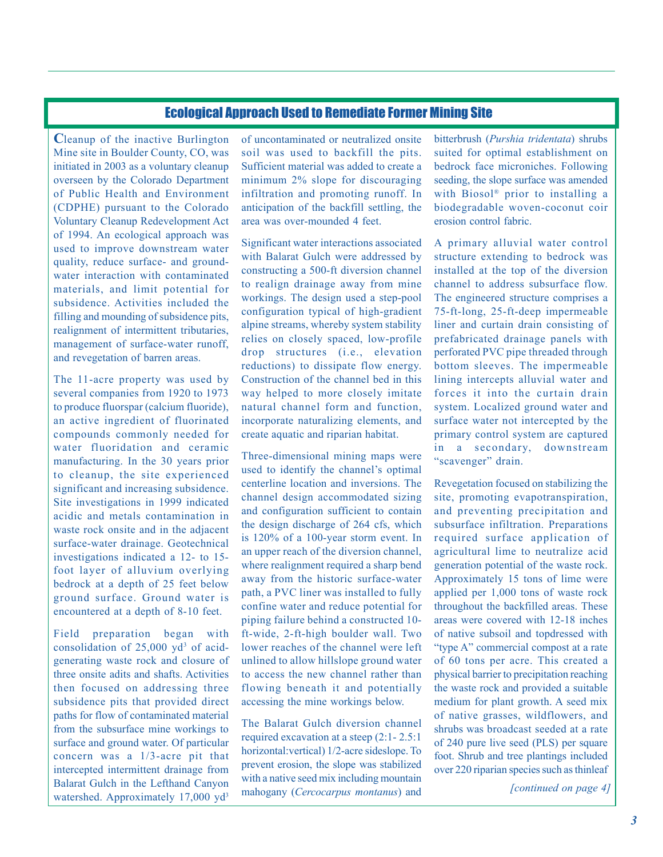# Ecological Approach Used to Remediate Former Mining Site

<span id="page-2-0"></span>**C**leanup of the inactive Burlington Mine site in Boulder County, CO, was initiated in 2003 as a voluntary cleanup overseen by the Colorado Department of Public Health and Environment (CDPHE) pursuant to the Colorado Voluntary Cleanup Redevelopment Act of 1994. An ecological approach was used to improve downstream water quality, reduce surface- and groundwater interaction with contaminated materials, and limit potential for subsidence. Activities included the filling and mounding of subsidence pits, realignment of intermittent tributaries, management of surface-water runoff, and revegetation of barren areas.

The 11-acre property was used by several companies from 1920 to 1973 to produce fluorspar (calcium fluoride), an active ingredient of fluorinated compounds commonly needed for water fluoridation and ceramic manufacturing. In the 30 years prior to cleanup, the site experienced significant and increasing subsidence. Site investigations in 1999 indicated acidic and metals contamination in waste rock onsite and in the adjacent surface-water drainage. Geotechnical investigations indicated a 12- to 15 foot layer of alluvium overlying bedrock at a depth of 25 feet below ground surface. Ground water is encountered at a depth of 8-10 feet.

Field preparation began with consolidation of  $25,000$  yd<sup>3</sup> of acidgenerating waste rock and closure of three onsite adits and shafts. Activities then focused on addressing three subsidence pits that provided direct paths for flow of contaminated material from the subsurface mine workings to surface and ground water. Of particular concern was a 1/3-acre pit that intercepted intermittent drainage from Balarat Gulch in the Lefthand Canyon watershed. Approximately 17,000 yd<sup>3</sup>

of uncontaminated or neutralized onsite soil was used to backfill the pits. Sufficient material was added to create a minimum 2% slope for discouraging infiltration and promoting runoff. In anticipation of the backfill settling, the area was over-mounded 4 feet.

Significant water interactions associated with Balarat Gulch were addressed by constructing a 500-ft diversion channel to realign drainage away from mine workings. The design used a step-pool configuration typical of high-gradient alpine streams, whereby system stability relies on closely spaced, low-profile drop structures (i.e., elevation reductions) to dissipate flow energy. Construction of the channel bed in this way helped to more closely imitate natural channel form and function, incorporate naturalizing elements, and create aquatic and riparian habitat.

Three-dimensional mining maps were used to identify the channel's optimal centerline location and inversions. The channel design accommodated sizing and configuration sufficient to contain the design discharge of 264 cfs, which is 120% of a 100-year storm event. In an upper reach of the diversion channel, where realignment required a sharp bend away from the historic surface-water path, a PVC liner was installed to fully confine water and reduce potential for piping failure behind a constructed 10 ft-wide, 2-ft-high boulder wall. Two lower reaches of the channel were left unlined to allow hillslope ground water to access the new channel rather than flowing beneath it and potentially accessing the mine workings below.

The Balarat Gulch diversion channel required excavation at a steep (2:1- 2.5:1 horizontal:vertical) 1/2-acre sideslope. To prevent erosion, the slope was stabilized with a native seed mix including mountain mahogany (*Cercocarpus montanus*) and

bitterbrush (*Purshia tridentata*) shrubs suited for optimal establishment on bedrock face microniches. Following seeding, the slope surface was amended with Biosol® prior to installing a biodegradable woven-coconut coir erosion control fabric.

A primary alluvial water control structure extending to bedrock was installed at the top of the diversion channel to address subsurface flow. The engineered structure comprises a 75-ft-long, 25-ft-deep impermeable liner and curtain drain consisting of prefabricated drainage panels with perforated PVC pipe threaded through bottom sleeves. The impermeable lining intercepts alluvial water and forces it into the curtain drain system. Localized ground water and surface water not intercepted by the primary control system are captured in a secondary, downstream "scavenger" drain.

Revegetation focused on stabilizing the site, promoting evapotranspiration, and preventing precipitation and subsurface infiltration. Preparations required surface application of agricultural lime to neutralize acid generation potential of the waste rock. Approximately 15 tons of lime were applied per 1,000 tons of waste rock throughout the backfilled areas. These areas were covered with 12-18 inches of native subsoil and topdressed with "type A" commercial compost at a rate of 60 tons per acre. This created a physical barrier to precipitation reaching the waste rock and provided a suitable medium for plant growth. A seed mix of native grasses, wildflowers, and shrubs was broadcast seeded at a rate of 240 pure live seed (PLS) per square foot. Shrub and tree plantings included over 220 riparian species such as thinleaf

*[continued on page 4]*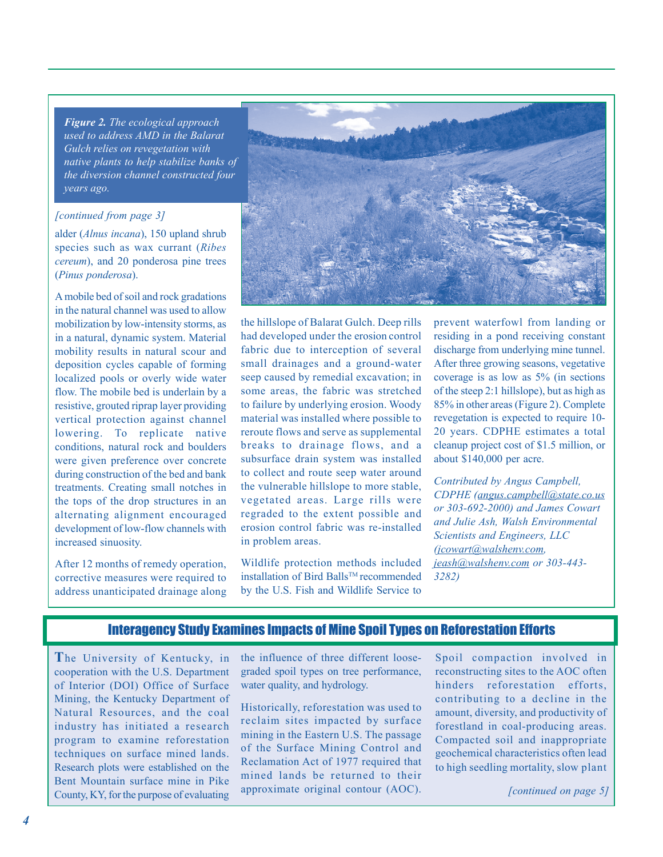<span id="page-3-0"></span>*Figure 2. The ecological approach used to address AMD in the Balarat Gulch relies on revegetation with native plants to help stabilize banks of the diversion channel constructed four years ago.*

## *[continued from page 3]*

alder (*Alnus incana*), 150 upland shrub species such as wax currant (*Ribes cereum*), and 20 ponderosa pine trees (*Pinus ponderosa*).

A mobile bed of soil and rock gradations in the natural channel was used to allow mobilization by low-intensity storms, as in a natural, dynamic system. Material mobility results in natural scour and deposition cycles capable of forming localized pools or overly wide water flow. The mobile bed is underlain by a resistive, grouted riprap layer providing vertical protection against channel lowering. To replicate native conditions, natural rock and boulders were given preference over concrete during construction of the bed and bank treatments. Creating small notches in the tops of the drop structures in an alternating alignment encouraged development of low-flow channels with increased sinuosity.

After 12 months of remedy operation, corrective measures were required to address unanticipated drainage along



the hillslope of Balarat Gulch. Deep rills had developed under the erosion control fabric due to interception of several small drainages and a ground-water seep caused by remedial excavation; in some areas, the fabric was stretched to failure by underlying erosion. Woody material was installed where possible to reroute flows and serve as supplemental breaks to drainage flows, and a subsurface drain system was installed to collect and route seep water around the vulnerable hillslope to more stable, vegetated areas. Large rills were regraded to the extent possible and erosion control fabric was re-installed in problem areas.

Wildlife protection methods included installation of Bird Balls™ recommended by the U.S. Fish and Wildlife Service to

prevent waterfowl from landing or residing in a pond receiving constant discharge from underlying mine tunnel. After three growing seasons, vegetative coverage is as low as 5% (in sections of the steep 2:1 hillslope), but as high as 85% in other areas (Figure 2). Complete revegetation is expected to require 10- 20 years. CDPHE estimates a total cleanup project cost of \$1.5 million, or about \$140,000 per acre.

*Contributed by Angus Campbell, CDPHE [\(angus.campbell@state.co.us](mailto:angus.campbell@state.co.us) or 303-692-2000) and James Cowart and Julie Ash, Walsh Environmental Scientists and Engineers, LLC [\(jcowart@walshenv.com,](mailto:jcowart@walshenv.com) [jeash@walshenv.com](mailto:jeash@walshenv.com) or 303-443- 3282)*

# Interagency Study Examines Impacts of Mine Spoil Types on Reforestation Efforts

**T**he University of Kentucky, in cooperation with the U.S. Department of Interior (DOI) Office of Surface Mining, the Kentucky Department of Natural Resources, and the coal industry has initiated a research program to examine reforestation techniques on surface mined lands. Research plots were established on the Bent Mountain surface mine in Pike County, KY, for the purpose of evaluating

the influence of three different loosegraded spoil types on tree performance, water quality, and hydrology.

Historically, reforestation was used to reclaim sites impacted by surface mining in the Eastern U.S. The passage of the Surface Mining Control and Reclamation Act of 1977 required that mined lands be returned to their approximate original contour (AOC).

Spoil compaction involved in reconstructing sites to the AOC often hinders reforestation efforts, contributing to a decline in the amount, diversity, and productivity of forestland in coal-producing areas. Compacted soil and inappropriate geochemical characteristics often lead to high seedling mortality, slow plant

*[continued on page 5]*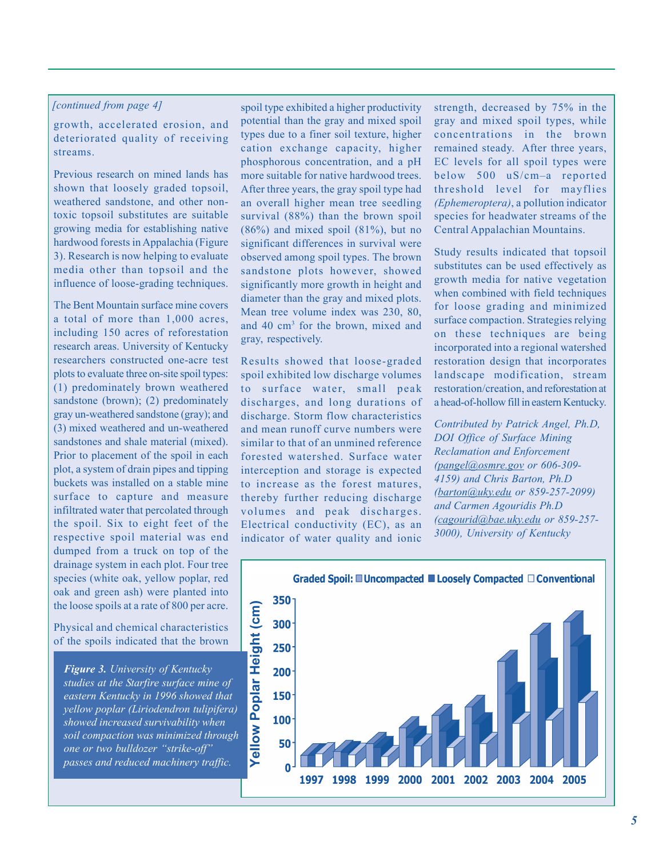growth, accelerated erosion, and deteriorated quality of receiving streams.

Previous research on mined lands has shown that loosely graded topsoil, weathered sandstone, and other nontoxic topsoil substitutes are suitable growing media for establishing native hardwood forests in Appalachia (Figure 3). Research is now helping to evaluate media other than topsoil and the influence of loose-grading techniques.

The Bent Mountain surface mine covers a total of more than 1,000 acres, including 150 acres of reforestation research areas. University of Kentucky researchers constructed one-acre test plots to evaluate three on-site spoil types: (1) predominately brown weathered sandstone (brown); (2) predominately gray un-weathered sandstone (gray); and (3) mixed weathered and un-weathered sandstones and shale material (mixed). Prior to placement of the spoil in each plot, a system of drain pipes and tipping buckets was installed on a stable mine surface to capture and measure infiltrated water that percolated through the spoil. Six to eight feet of the respective spoil material was end dumped from a truck on top of the drainage system in each plot. Four tree species (white oak, yellow poplar, red oak and green ash) were planted into the loose spoils at a rate of 800 per acre.

Physical and chemical characteristics of the spoils indicated that the brown

*Figure 3. University of Kentucky studies at the Starfire surface mine of eastern Kentucky in 1996 showed that yellow poplar (Liriodendron tulipifera) showed increased survivability when soil compaction was minimized through one or two bulldozer "strike-off" passes and reduced machinery traffic.*

*[continued from page 4]* spoil type exhibited a higher productivity strength, decreased by 75% in the potential than the gray and mixed spoil types due to a finer soil texture, higher cation exchange capacity, higher phosphorous concentration, and a pH more suitable for native hardwood trees. After three years, the gray spoil type had an overall higher mean tree seedling survival (88%) than the brown spoil  $(86\%)$  and mixed spoil  $(81\%)$ , but no significant differences in survival were observed among spoil types. The brown sandstone plots however, showed significantly more growth in height and diameter than the gray and mixed plots. Mean tree volume index was 230, 80, and 40 cm<sup>3</sup> for the brown, mixed and gray, respectively.

> Results showed that loose-graded spoil exhibited low discharge volumes to surface water, small peak discharges, and long durations of discharge. Storm flow characteristics and mean runoff curve numbers were similar to that of an unmined reference forested watershed. Surface water interception and storage is expected to increase as the forest matures, thereby further reducing discharge volumes and peak discharges. Electrical conductivity (EC), as an indicator of water quality and ionic

gray and mixed spoil types, while concentrations in the brown remained steady. After three years, EC levels for all spoil types were below 500 uS/cm–a reported threshold level for mayflies *(Ephemeroptera)*, a pollution indicator species for headwater streams of the Central Appalachian Mountains.

Study results indicated that topsoil substitutes can be used effectively as growth media for native vegetation when combined with field techniques for loose grading and minimized surface compaction. Strategies relying on these techniques are being incorporated into a regional watershed restoration design that incorporates landscape modification, stream restoration/creation, and reforestation at a head-of-hollow fill in eastern Kentucky.

*Contributed by Patrick Angel, Ph.D, DOI Office of Surface Mining Reclamation and Enforcement [\(pangel@osmre.gov](mailto:pangel@osmre.gov) or 606-309- 4159) and Chris Barton, Ph.D [\(barton@uky.edu](mailto:barton@uky.edu) or 859-257-2099) and Carmen Agouridis Ph.D [\(cagourid@bae.uky.edu o](mailto:cagourid@bae.uky.edu)r 859-257- 3000), University of Kentucky*